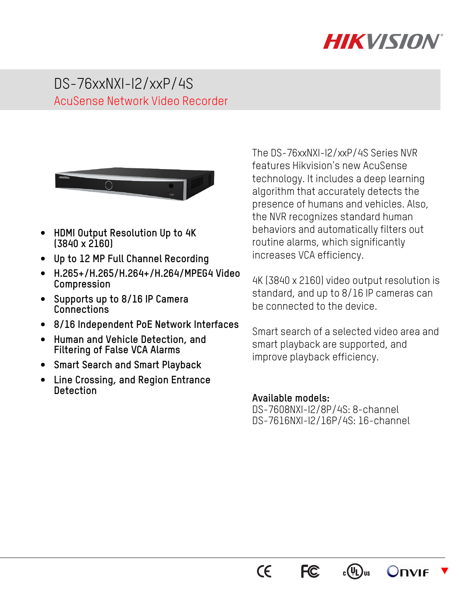

# DS-76xxNXI-I2/xxP/4S AcuSense Network Video Recorder



- **HDMI Output Resolution Up to 4K (3840 x 2160)**
- **Up to 12 MP Full Channel Recording**
- **H.265+/H.265/H.264+/H.264/MPEG4 Video Compression**
- **Supports up to 8/16 IP Camera Connections**
- **8/16 Independent PoE Network Interfaces**
- **Human and Vehicle Detection, and Filtering of False VCA Alarms**
- **Smart Search and Smart Playback**
- **Line Crossing, and Region Entrance Detection**

The DS-76xxNXI-I2/xxP/4S Series NVR features Hikvision's new AcuSense technology. It includes a deep learning algorithm that accurately detects the presence of humans and vehicles. Also, the NVR recognizes standard human behaviors and automatically filters out routine alarms, which significantly increases VCA efficiency.

4K (3840 x 2160) video output resolution is standard, and up to 8/16 IP cameras can be connected to the device.

Smart search of a selected video area and smart playback are supported, and improve playback efficiency.

#### **Available models:**

DS-7608NXI-I2/8P/4S: 8-channel DS-7616NXI-I2/16P/4S: 16-channel



 $c(\Psi L)$ us Onvie  $\overline{\blacktriangledown}$